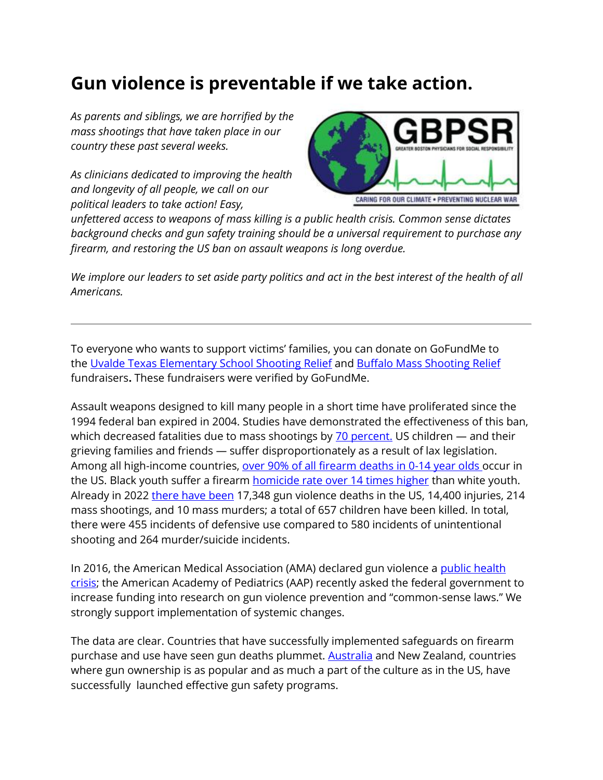## **Gun violence is preventable if we take action.**

*As parents and siblings, we are horrified by the mass shootings that have taken place in our country these past several weeks.*

*As clinicians dedicated to improving the health and longevity of all people, we call on our political leaders to take action! Easy,* 



*unfettered access to weapons of mass killing is a public health crisis. Common sense dictates background checks and gun safety training should be a universal requirement to purchase any firearm, and restoring the US ban on assault weapons is long overdue.*

*We implore our leaders to set aside party politics and act in the best interest of the health of all Americans.*

To everyone who wants to support victims' families, you can donate on GoFundMe to the [Uvalde Texas Elementary School Shooting](https://www.gofundme.com/c/act/donate-to-texas-elementary-school-shooting-relief) Relief and [Buffalo Mass Shooting Relief](https://www.gofundme.com/c/act/buffalo-mass-shooting-fundraisers) fundraisers**.** These fundraisers were verified by GoFundMe.

Assault weapons designed to kill many people in a short time have proliferated since the 1994 federal ban expired in 2004. Studies have demonstrated the effectiveness of this ban, which decreased fatalities due to mass shootings by  $\frac{70 \text{ percent}}{100 \text{ percent}}$ . US children  $-$  and their grieving families and friends — suffer disproportionately as a result of lax legislation. Among all high-income countries, [over 90% of all firearm deaths in 0-14 year olds](https://pubmed.ncbi.nlm.nih.gov/30817955/) occur in the US. Black youth suffer a firearm **[homicide rate over 14 times higher](https://pubmed.ncbi.nlm.nih.gov/35224633/)** than white youth. Already in 2022 [there have been](https://www.gunviolencearchive.org/) 17,348 gun violence deaths in the US, 14,400 injuries, 214 mass shootings, and 10 mass murders; a total of 657 children have been killed. In total, there were 455 incidents of defensive use compared to 580 incidents of unintentional shooting and 264 murder/suicide incidents.

In 2016, the American Medical Association (AMA) declared gun violence a [public health](https://www.medscape.com/viewarticle/974615)  [crisis;](https://www.medscape.com/viewarticle/974615) the American Academy of Pediatrics (AAP) recently asked the federal government to increase funding into research on gun violence prevention and "common-sense laws." We strongly support implementation of systemic changes.

The data are clear. Countries that have successfully implemented safeguards on firearm purchase and use have seen gun deaths plummet. [Australia](https://www.democracynow.org/2022/5/26/1996_port_arthur_mass_shooting_australia) and New Zealand, countries where gun ownership is as popular and as much a part of the culture as in the US, have successfully launched effective gun safety programs.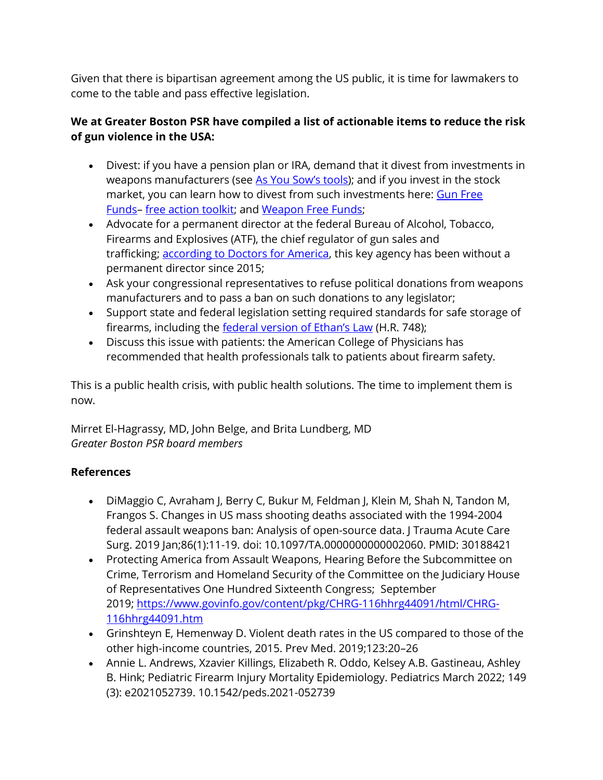Given that there is bipartisan agreement among the US public, it is time for lawmakers to come to the table and pass effective legislation.

## **We at Greater Boston PSR have compiled a list of actionable items to reduce the risk of gun violence in the USA:**

- Divest: if you have a pension plan or IRA, demand that it divest from investments in weapons manufacturers (see [As You Sow's tools](https://www.asyousow.org/blog/2019/8/9/assault-weapons-investments-gun-violence)); and if you invest in the stock market, you can learn how to divest from such investments here: Gun Free [Funds](https://gunfreefunds.org/)– [free action toolkit;](https://gunfreefunds.org/action-toolkit) and Weapon [Free Funds;](https://www.divestfromwarmachine.org/)
- Advocate for a permanent director at the federal Bureau of Alcohol, Tobacco, Firearms and Explosives (ATF), the chief regulator of gun sales and trafficking; [according to Doctors for America,](https://doctorsforamerica.org/action/?vvsrc=%2fCampaigns%2f94861%2fRespond) this key agency has been without a permanent director since 2015;
- Ask your congressional representatives to refuse political donations from weapons manufacturers and to pass a ban on such donations to any legislator;
- Support state and federal legislation setting required standards for safe storage of firearms, including the **[federal version of Ethan's Law](https://actionfund.sandyhookpromise.org/issues/gun-safety/safe-storage/)** (H.R. 748);
- Discuss this issue with patients: the American College of Physicians has recommended that health professionals talk to patients about firearm safety.

This is a public health crisis, with public health solutions. The time to implement them is now.

Mirret El-Hagrassy, MD, John Belge, and Brita Lundberg, MD *Greater Boston PSR board members*

## **References**

- DiMaggio C, Avraham J, Berry C, Bukur M, Feldman J, Klein M, Shah N, Tandon M, Frangos S. Changes in US mass shooting deaths associated with the 1994-2004 federal assault weapons ban: Analysis of open-source data. J Trauma Acute Care Surg. 2019 Jan;86(1):11-19. doi: 10.1097/TA.0000000000002060. PMID: 30188421
- Protecting America from Assault Weapons, Hearing Before the Subcommittee on Crime, Terrorism and Homeland Security of the Committee on the Judiciary House of Representatives One Hundred Sixteenth Congress; September 2019; [https://www.govinfo.gov/content/pkg/CHRG-116hhrg44091/html/CHRG-](https://www.govinfo.gov/content/pkg/CHRG-116hhrg44091/html/CHRG-116hhrg44091.htm)[116hhrg44091.htm](https://www.govinfo.gov/content/pkg/CHRG-116hhrg44091/html/CHRG-116hhrg44091.htm)
- Grinshteyn E, Hemenway D. Violent death rates in the US compared to those of the other high-income countries, 2015. Prev Med. 2019;123:20–26
- Annie L. Andrews, Xzavier Killings, Elizabeth R. Oddo, Kelsey A.B. Gastineau, Ashley B. Hink; Pediatric Firearm Injury Mortality Epidemiology. Pediatrics March 2022; 149 (3): e2021052739. 10.1542/peds.2021-052739